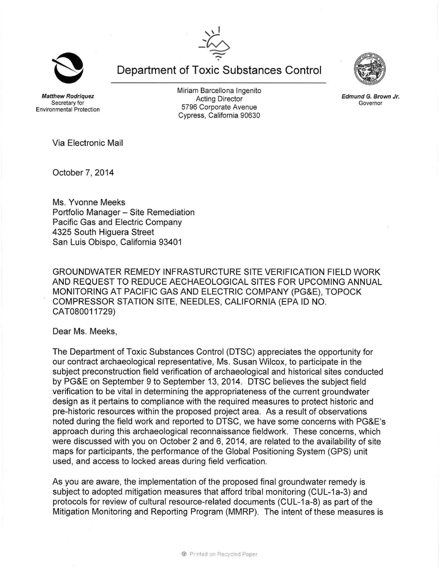Department of Toxic Substances Control

Matthew Rodriquez Secretary for Environmental Protection Miriam Barcellona Ingenito Acting Director 5796 Corporate Avenue Cypress, California 90630

Via Electronic Mail

October 7, 2014

Ms. Yvonne Meeks Portfolio Manager - Site Remediation Pacific Gas and Electric Company 4325 South Higuera Street San Luis Obispo, California 93401

GROUNDWATER REMEDY INFRASTURCTURE SITE VERIFICATION FIELD WORK AND REQUEST TO REDUCE AECHAEOLOGICAL SITES FOR UPCOMING ANNUAL MONITORING AT PACIFIC GAS AND ELECTRIC COMPANY (PG&E), TOPOCK COMPRESSOR STATION SITE, NEEDLES, CALIFORNIA (EPA ID NO. CAT080011729)

Dear Ms. Meeks,

The Department of Toxic Substances Control (DTSC) appreciates the opportunity for our contract archaeological representative, Ms. Susan Wilcox, to participate in the subject preconstruction field verification of archaeological and historical sites conducted by PG&E on September 9 to September 13, 2014. DTSC believes the subject field verification to be vital in determining the appropriateness of the current groundwater design as it pertains to compliance with the required measures to protect historic and pre-historic resources within the proposed project area. As a result of observations noted during the field work and reported to DTSC, we have some concerns with PG&E's approach during this archaeological reconnaissance fieldwork. These concerns, which were discussed with you on October 2 and 6, 2014, are related to the availability of site maps for participants, the performance of the Global Positioning System (GPS) unit used, and access to locked areas during field verfication.

As you are aware, the implementation of the proposed final groundwater remedy is subject to adopted mitigation measures that afford tribal monitoring (CUL-1a-3) and protocols for review of cultural resource-related documents (CUL-1a-8) as part of the Mitigation Monitoring and Reporting Program (MMRP). The intent of these measures is



Edmund G. Brown Jr. Governor